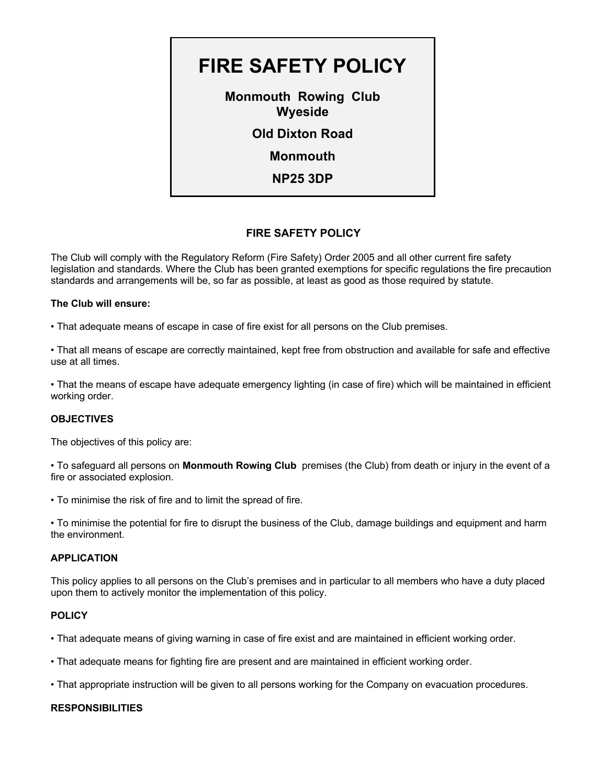

# **FIRE SAFETY POLICY**

The Club will comply with the Regulatory Reform (Fire Safety) Order 2005 and all other current fire safety legislation and standards. Where the Club has been granted exemptions for specific regulations the fire precaution standards and arrangements will be, so far as possible, at least as good as those required by statute.

### **The Club will ensure:**

• That adequate means of escape in case of fire exist for all persons on the Club premises.

• That all means of escape are correctly maintained, kept free from obstruction and available for safe and effective use at all times.

• That the means of escape have adequate emergency lighting (in case of fire) which will be maintained in efficient working order.

# **OBJECTIVES**

The objectives of this policy are:

• To safeguard all persons on **Monmouth Rowing Club** premises (the Club) from death or injury in the event of a fire or associated explosion.

• To minimise the risk of fire and to limit the spread of fire.

• To minimise the potential for fire to disrupt the business of the Club, damage buildings and equipment and harm the environment.

# **APPLICATION**

This policy applies to all persons on the Club's premises and in particular to all members who have a duty placed upon them to actively monitor the implementation of this policy.

# **POLICY**

- That adequate means of giving warning in case of fire exist and are maintained in efficient working order.
- That adequate means for fighting fire are present and are maintained in efficient working order.
- That appropriate instruction will be given to all persons working for the Company on evacuation procedures.

# **RESPONSIBILITIES**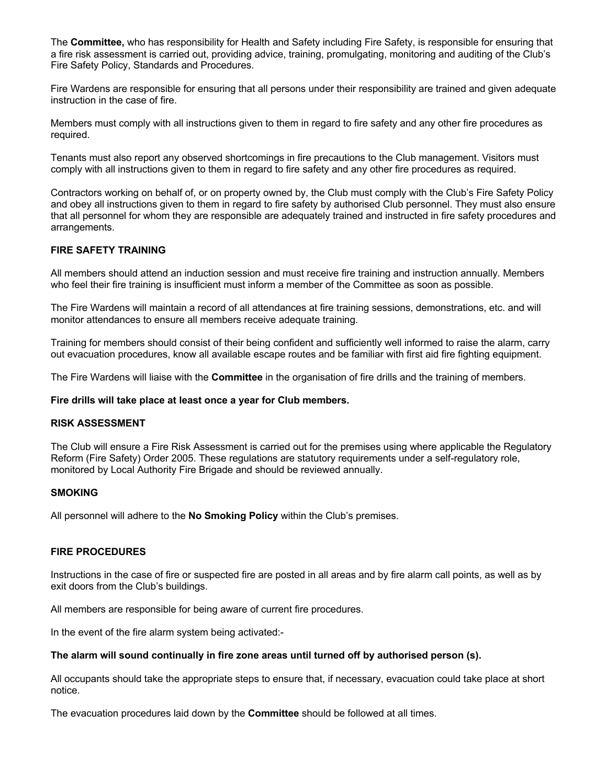The **Committee,** who has responsibility for Health and Safety including Fire Safety, is responsible for ensuring that a fire risk assessment is carried out, providing advice, training, promulgating, monitoring and auditing of the Club's Fire Safety Policy, Standards and Procedures.

Fire Wardens are responsible for ensuring that all persons under their responsibility are trained and given adequate instruction in the case of fire.

Members must comply with all instructions given to them in regard to fire safety and any other fire procedures as required.

Tenants must also report any observed shortcomings in fire precautions to the Club management. Visitors must comply with all instructions given to them in regard to fire safety and any other fire procedures as required.

Contractors working on behalf of, or on property owned by, the Club must comply with the Club's Fire Safety Policy and obey all instructions given to them in regard to fire safety by authorised Club personnel. They must also ensure that all personnel for whom they are responsible are adequately trained and instructed in fire safety procedures and arrangements.

### **FIRE SAFETY TRAINING**

All members should attend an induction session and must receive fire training and instruction annually. Members who feel their fire training is insufficient must inform a member of the Committee as soon as possible.

The Fire Wardens will maintain a record of all attendances at fire training sessions, demonstrations, etc. and will monitor attendances to ensure all members receive adequate training.

Training for members should consist of their being confident and sufficiently well informed to raise the alarm, carry out evacuation procedures, know all available escape routes and be familiar with first aid fire fighting equipment.

The Fire Wardens will liaise with the **Committee** in the organisation of fire drills and the training of members.

#### **Fire drills will take place at least once a year for Club members.**

#### **RISK ASSESSMENT**

The Club will ensure a Fire Risk Assessment is carried out for the premises using where applicable the Regulatory Reform (Fire Safety) Order 2005. These regulations are statutory requirements under a self-regulatory role, monitored by Local Authority Fire Brigade and should be reviewed annually.

### **SMOKING**

All personnel will adhere to the **No Smoking Policy** within the Club's premises.

### **FIRE PROCEDURES**

Instructions in the case of fire or suspected fire are posted in all areas and by fire alarm call points, as well as by exit doors from the Club's buildings.

All members are responsible for being aware of current fire procedures.

In the event of the fire alarm system being activated:-

#### **The alarm will sound continually in fire zone areas until turned off by authorised person (s).**

All occupants should take the appropriate steps to ensure that, if necessary, evacuation could take place at short notice.

The evacuation procedures laid down by the **Committee** should be followed at all times.